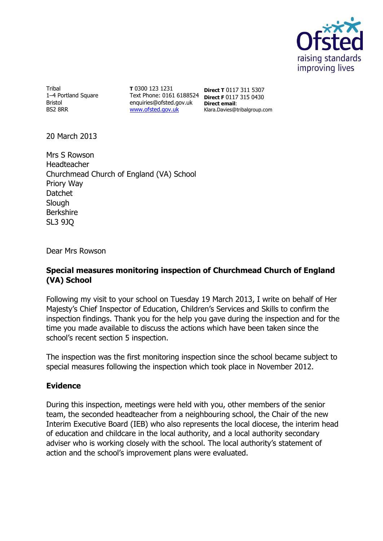

**Tribal** 1–4 Portland Square Bristol BS2 8RR

**T** 0300 123 1231 Text Phone: 0161 6188524 enquiries@ofsted.gov.uk **Direct email**: [www.ofsted.gov.uk](http://www.ofsted.gov.uk/)

**Direct T** 0117 311 5307 **Direct F** 0117 315 0430 Klara.Davies@tribalgroup.com

20 March 2013

Mrs S Rowson Headteacher Churchmead Church of England (VA) School Priory Way Datchet Slough Berkshire SL3 9JQ

Dear Mrs Rowson

## **Special measures monitoring inspection of Churchmead Church of England (VA) School**

Following my visit to your school on Tuesday 19 March 2013, I write on behalf of Her Majesty's Chief Inspector of Education, Children's Services and Skills to confirm the inspection findings. Thank you for the help you gave during the inspection and for the time you made available to discuss the actions which have been taken since the school's recent section 5 inspection.

The inspection was the first monitoring inspection since the school became subject to special measures following the inspection which took place in November 2012.

## **Evidence**

During this inspection, meetings were held with you, other members of the senior team, the seconded headteacher from a neighbouring school, the Chair of the new Interim Executive Board (IEB) who also represents the local diocese, the interim head of education and childcare in the local authority, and a local authority secondary adviser who is working closely with the school. The local authority's statement of action and the school's improvement plans were evaluated.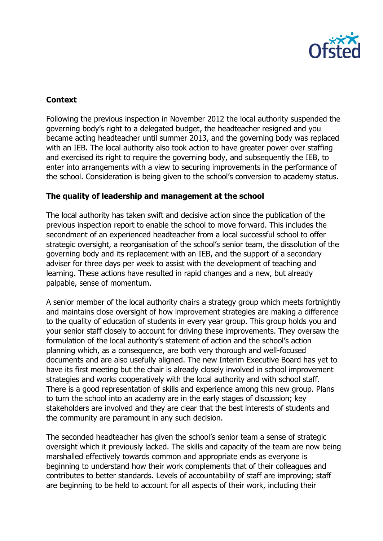

## **Context**

Following the previous inspection in November 2012 the local authority suspended the governing body's right to a delegated budget, the headteacher resigned and you became acting headteacher until summer 2013, and the governing body was replaced with an IEB. The local authority also took action to have greater power over staffing and exercised its right to require the governing body, and subsequently the IEB, to enter into arrangements with a view to securing improvements in the performance of the school. Consideration is being given to the school's conversion to academy status.

## **The quality of leadership and management at the school**

The local authority has taken swift and decisive action since the publication of the previous inspection report to enable the school to move forward. This includes the secondment of an experienced headteacher from a local successful school to offer strategic oversight, a reorganisation of the school's senior team, the dissolution of the governing body and its replacement with an IEB, and the support of a secondary adviser for three days per week to assist with the development of teaching and learning. These actions have resulted in rapid changes and a new, but already palpable, sense of momentum.

A senior member of the local authority chairs a strategy group which meets fortnightly and maintains close oversight of how improvement strategies are making a difference to the quality of education of students in every year group. This group holds you and your senior staff closely to account for driving these improvements. They oversaw the formulation of the local authority's statement of action and the school's action planning which, as a consequence, are both very thorough and well-focused documents and are also usefully aligned. The new Interim Executive Board has yet to have its first meeting but the chair is already closely involved in school improvement strategies and works cooperatively with the local authority and with school staff. There is a good representation of skills and experience among this new group. Plans to turn the school into an academy are in the early stages of discussion; key stakeholders are involved and they are clear that the best interests of students and the community are paramount in any such decision.

The seconded headteacher has given the school's senior team a sense of strategic oversight which it previously lacked. The skills and capacity of the team are now being marshalled effectively towards common and appropriate ends as everyone is beginning to understand how their work complements that of their colleagues and contributes to better standards. Levels of accountability of staff are improving; staff are beginning to be held to account for all aspects of their work, including their